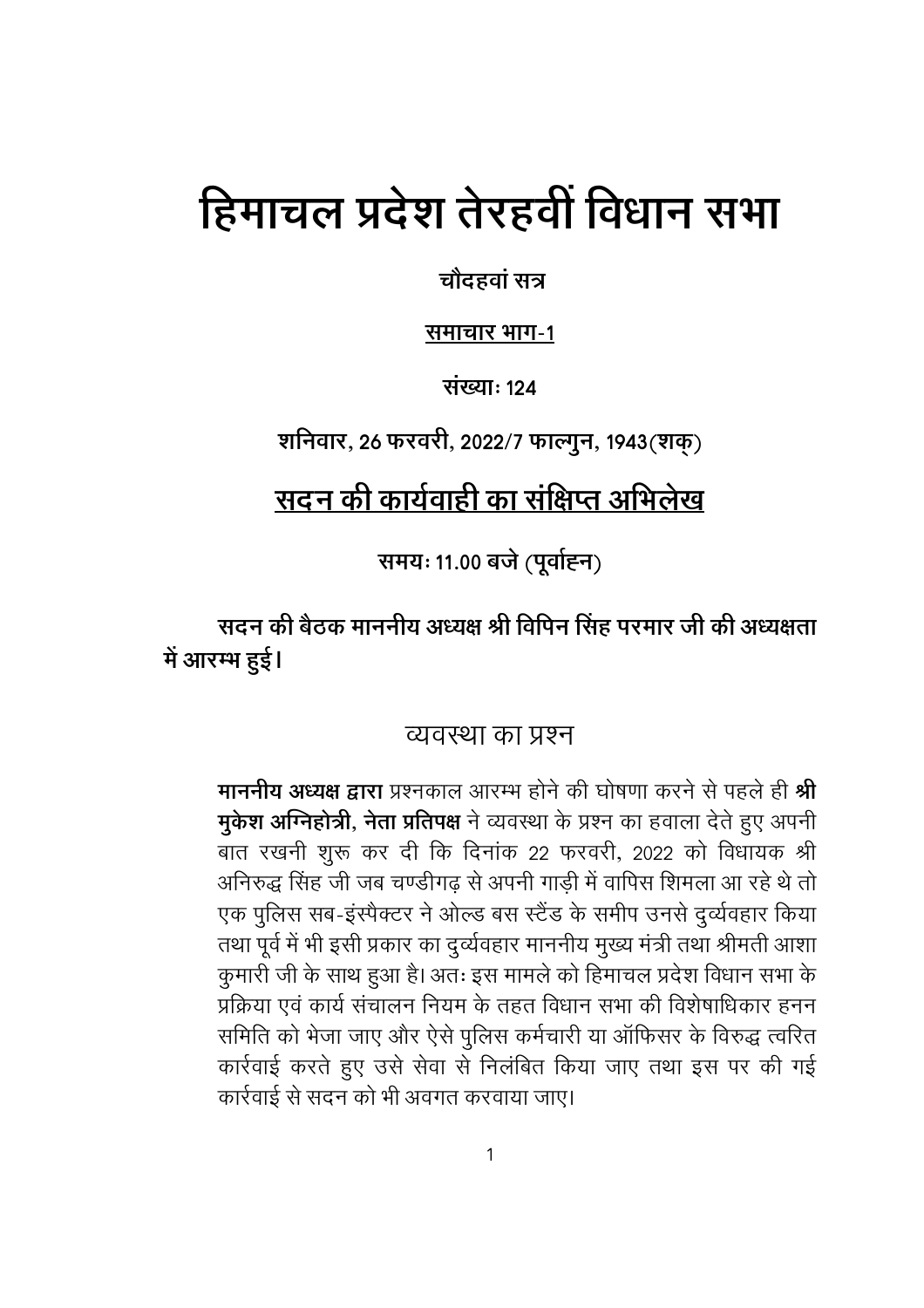# हिमाचल प्रदेश तेरहवीं विधान सभा

चौदहवां सत्र

समाचार भाग-1

संख्या: 124

शनिवार, 26 फरवरी, 2022/7 फाल्गुन, 1943(शक्)

# <u>सदन की कार्यवा</u>ही का संक्षिप्त अभिलेख

समयः 11.00 बजे (पूर्वाहन)

सदन की बैठक माननीय अध्यक्ष श्री विपिन सिंह परमार जी की अध्यक्षता में आरम्भ हुई।

## व्यवस्था का प्रश्न

माननीय अध्यक्ष द्वारा प्रश्नकाल आरम्भ होने की घोषणा करने से पहले ही श्री मुकेश अग्निहोत्री, नेता प्रतिपक्ष ने व्यवस्था के प्रश्न का हवाला देते हुए अपनी बात रखनी शुरू कर दी कि दिनांक 22 फरवरी, 2022 को विधायक श्री अनिरुद्ध सिंह जी जब चण्डीगढ से अपनी गाडी में वापिस शिमला आ रहे थे तो एक पुलिस सब-इंस्पैक्टर ने ओल्ड बस स्टैंड के समीप उनसे दुर्व्यवहार किया तथा पूर्व में भी इसी प्रकार का दुर्व्यवहार माननीय मुख्य मंत्री तथा श्रीमती आशा कुमारी जी के साथ हुआ है। अतः इस मामले को हिमाचल प्रदेश विधान सभा के प्रक्रिया एवं कार्य संचालन नियम के तहत विधान सभा की विशेषाधिकार हनन समिति को भेजा जाए और ऐसे पुलिस कर्मचारी या ऑफिसर के विरुद्ध त्वरित कार्रवाई करते हुए उसे सेवा से निलंबित किया जाए तथा इस पर की गई कार्रवाई से सदन को भी अवगत करवाया जाए।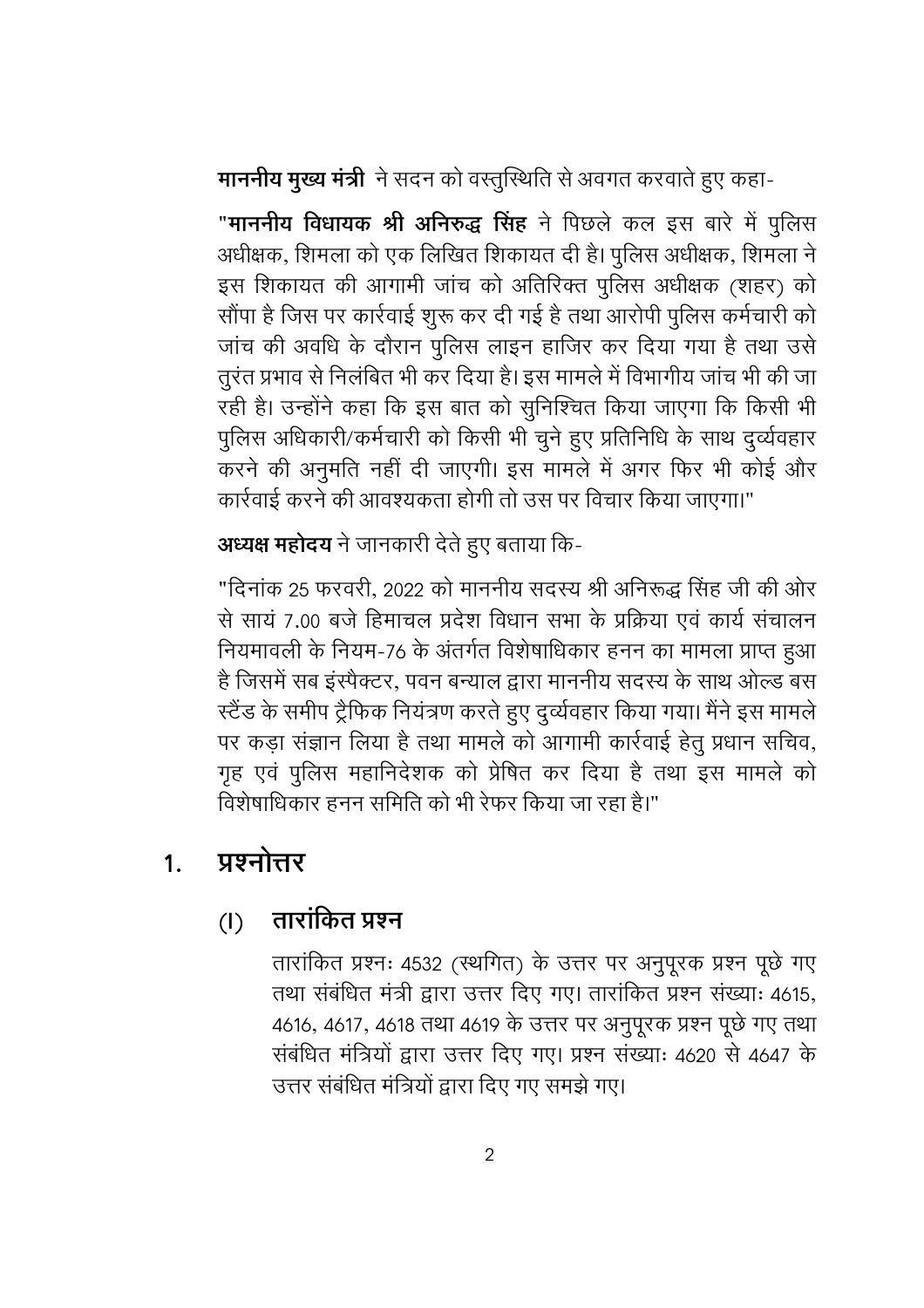माननीय मुख्य मंत्री ने सदन को वस्तुस्थिति से अवगत करवाते हुए कहा-

"माननीय विधायक श्री अनिरुद्ध सिंह ने पिछले कल इस बारे में पुलिस अधीक्षक, शिमला को एक लिखित शिकायत दी है। पुलिस अधीक्षक, शिमला ने इस शिकायत की आगामी जांच को अतिरिक्त पुलिस अधीक्षक (शहर) को सौंपा है जिस पर कार्रवाई शुरू कर दी गई है तथा आरोपी पुलिस कर्मचारी को जांच की अवधि के दौरान पुलिस लाइन हाजिर कर दिया गया है तथा उसे तुरंत प्रभाव से निलंबित भी कर दिया है। इस मामले में विभागीय जांच भी की जा रही है। उन्होंने कहा कि इस बात को सुनिश्चित किया जाएगा कि किसी भी पुलिस अधिकारी/कर्मचारी को किसी भी चुने हुए प्रतिनिधि के साथ दुर्व्यवहार करने की अनूमति नहीं दी जाएगी। इस मामले में अगर फिर भी कोई और कार्रवाई करने की आवश्यकता होगी तो उस पर विचार किया जाएगा।"

# अध्यक्ष महोदय ने जानकारी देते हुए बताया कि-

"दिनांक 25 फरवरी, 2022 को माननीय सदस्य श्री अनिरूद्ध सिंह जी की ओर से सायं 7.00 बजे हिमाचल प्रदेश विधान सभा के प्रक्रिया एवं कार्य संचालन नियमावली के नियम-76 के अंतर्गत विशेषाधिकार हनन का मामला प्राप्त हुआ है जिसमें सब इंस्पैक्टर, पवन बन्याल द्वारा माननीय सदस्य के साथ ओल्ड बस स्टैंड के समीप ट्रैफिक नियंत्रण करते हुए दुर्व्यवहार किया गया। मैंने इस मामले पर कड़ा संज्ञान लिया है तथा मामले को आगामी कार्रवाई हेतु प्रधान सचिव, गृह एवं पुलिस महानिदेशक को प्रेषित कर दिया है तथा इस मामले को विशेषाधिकार हनन समिति को भी रेफर किया जा रहा है।"

#### प्रश्नोत्तर  $1<sub>1</sub>$

#### तारांकित प्रश्न  $(1)$

तारांकित प्रश्नः 4532 (स्थगित) के उत्तर पर अनुपूरक प्रश्न पूछे गए तथा संबंधित मंत्री द्वारा उत्तर दिए गए। तारांकित प्रश्न संख्याः 4615, 4616, 4617, 4618 तथा 4619 के उत्तर पर अनुपूरक प्रश्न पूछे गए तथा संबंधित मंत्रियों द्वारा उत्तर दिए गए। प्रश्न संख्याः 4620 से 4647 के उत्तर संबंधित मंत्रियों द्वारा दिए गए समझे गए।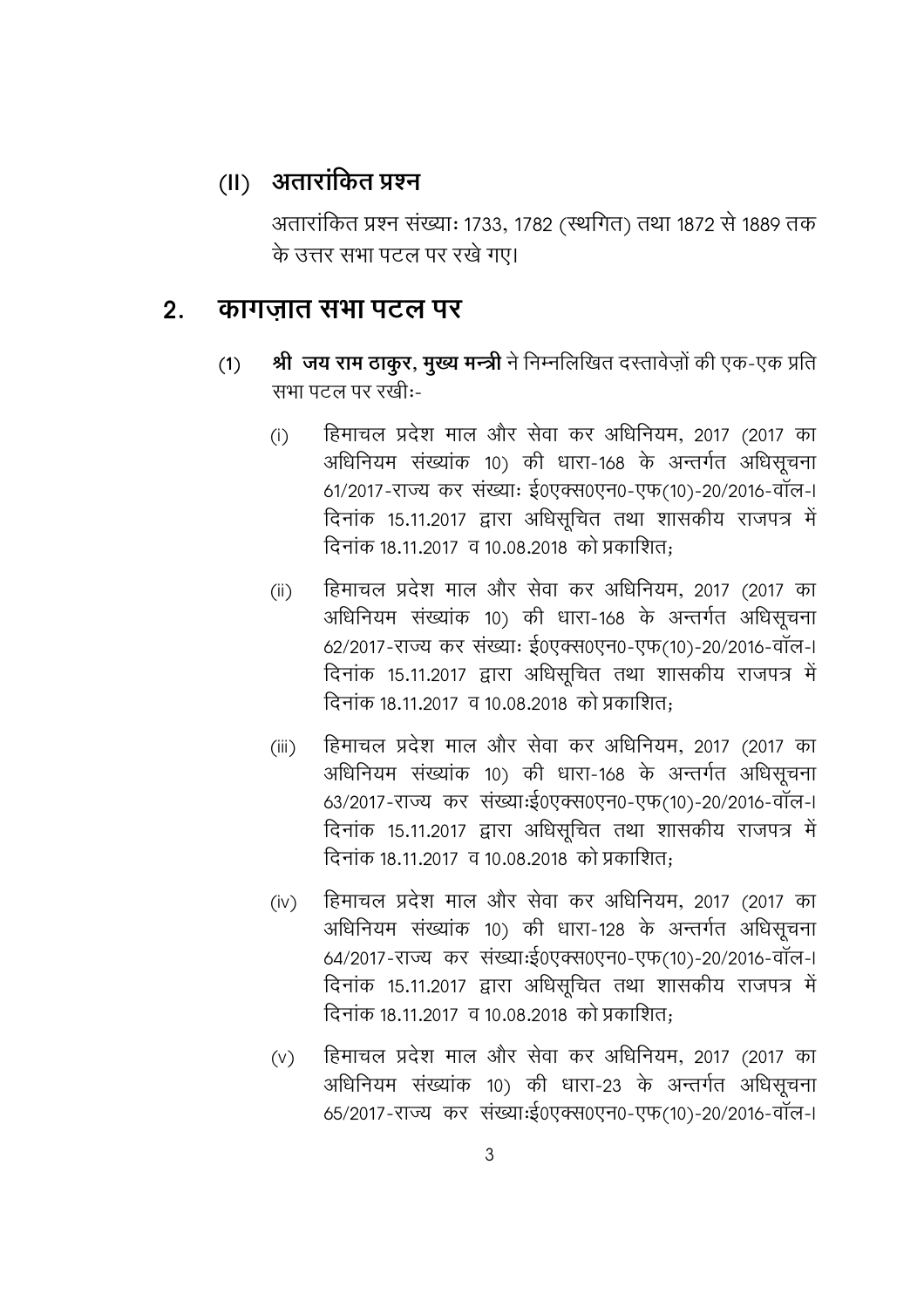## (॥) अतारांकित प्रश्न

अतारांकित प्रश्न संख्याः 1733, 1782 (स्थगित) तथा 1872 से 1889 तक के उत्तर सभा पटल पर रखे गए।

#### कागजात सभा पटल पर  $2.$

- श्री जय राम ठाकुर, मुख्य मन्त्री ने निम्नलिखित दरतावेज़ों की एक-एक प्रति  $(1)$ सभा पटल पर रखी:-
	- हिमाचल प्रदेश माल और सेवा कर अधिनियम, 2017 (2017 का  $(i)$ अधिनियम संख्यांक 10) की धारा-168 के अन्तर्गत अधिसूचना 61/2017-राज्य कर संख्याः ई0एक्स0एन0-एफ(10)-20/2016-वॉल-। दिनांक 15.11.2017 द्वारा अधिसूचित तथा शासकीय राजपत्र में दिनांक 18.11.2017 व 10.08.2018 को प्रकाशित:
	- हिमाचल प्रदेश माल और सेवा कर अधिनियम, 2017 (2017 का  $(ii)$ अधिनियम संख्यांक 10) की धारा-168 के अन्तर्गत अधिसूचना 62/2017-राज्य कर संख्याः ई0एक्स0एन0-एफ(10)-20/2016-वॉल-। दिनांक 15.11.2017 द्वारा अधिसूचित तथा शासकीय राजपत्र में दिनांक 18.11.2017 व 10.08.2018 को प्रकाशित:
	- हिमाचल प्रदेश माल और सेवा कर अधिनियम, 2017 (2017 का  $(iii)$ अधिनियम संख्यांक 10) की धारा-168 के अन्तर्गत अधिसूचना 63/2017-राज्य कर संख्याःई0एक्स0एन0-एफ(10)-20/2016-वॉल-। दिनांक 15.11.2017 द्वारा अधिसूचित तथा शासकीय राजपत्र में दिनांक 18.11.2017 व 10.08.2018 को प्रकाशित:
	- हिमाचल प्रदेश माल और सेवा कर अधिनियम, 2017 (2017 का  $(iv)$ अधिनियम संख्यांक 10) की धारा-128 के अन्तर्गत अधिसूचना 64/2017-राज्य कर संख्याःई0एक्स0एन0-एफ(10)-20/2016-वॉल-। दिनांक 15.11.2017 द्वारा अधिसूचित तथा शासकीय राजपत्र में दिनांक 18.11.2017 व 10.08.2018 को प्रकाशित:
	- हिमाचल प्रदेश माल और सेवा कर अधिनियम, 2017 (2017 का  $(V)$ अधिनियम संख्यांक 10) की धारा-23 के अन्तर्गत अधिसूचना 65/2017-राज्य कर संख्याःई0एक्स0एन0-एफ(10)-20/2016-वॉल-।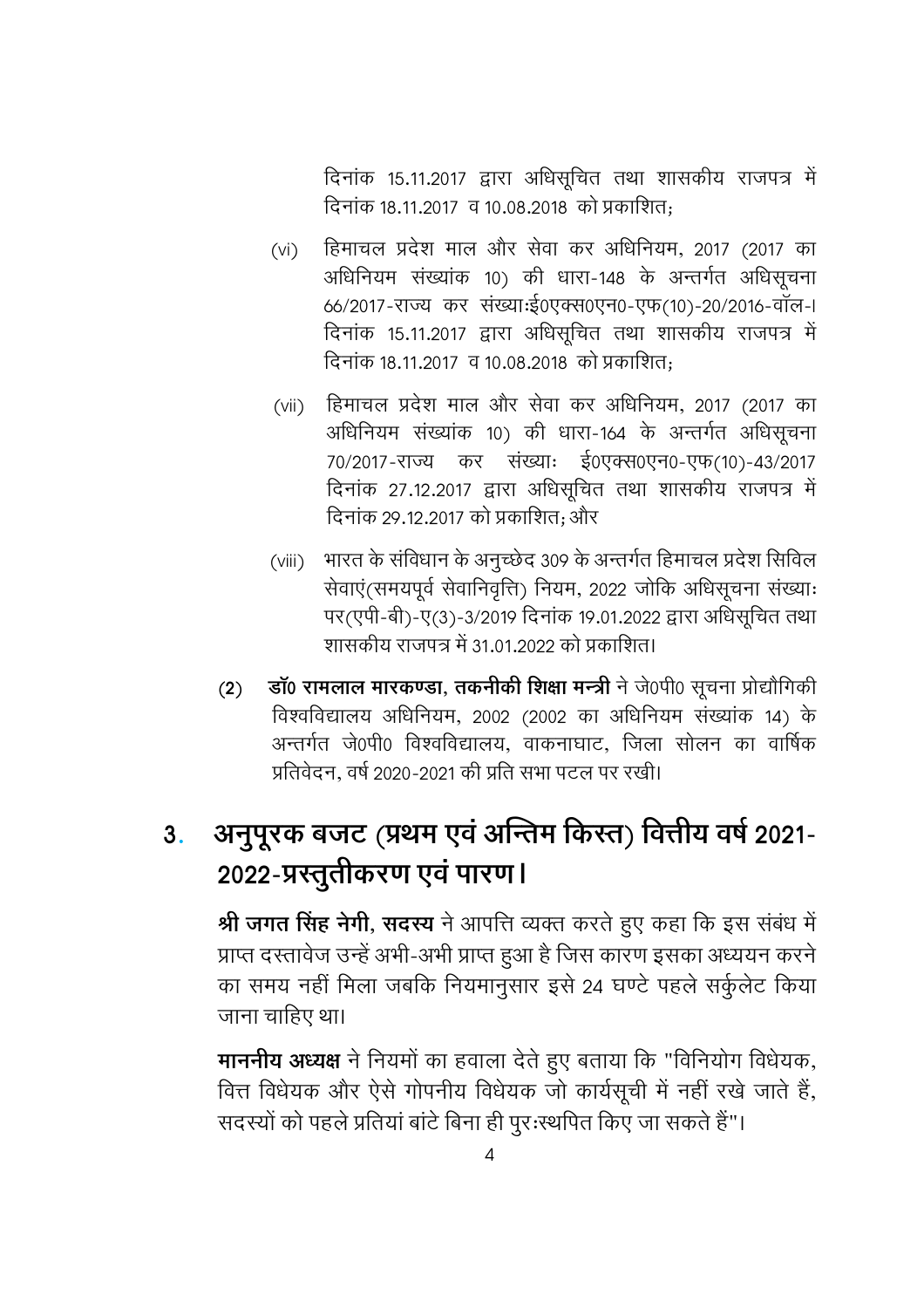दिनांक 15.11.2017 द्वारा अधिसूचित तथा शासकीय राजपत्र में दिनांक 18.11.2017 व 10.08.2018 को प्रकाशित:

- हिमाचल प्रदेश माल और सेवा कर अधिनियम, 2017 (2017 का  $(vi)$ अधिनियम संख्यांक 10) की धारा-148 के अन्तर्गत अधिसूचना 66/2017-राज्य कर संख्याःई0एक्स0एन0-एफ(10)-20/2016-वॉल-। दिनांक 15.11.2017 द्वारा अधिसूचित तथा शासकीय राजपत्र में दिनांक 18.11.2017 व 10.08.2018 को प्रकाशित:
- हिमाचल प्रदेश माल और सेवा कर अधिनियम, 2017 (2017 का  $(vii)$ अधिनियम संख्यांक 10) की धारा-164 के अन्तर्गत अधिसूचना 70/2017-राज्य कर संख्याः ई0एक्स0एन0-एफ(10)-43/2017 दिनांक 27.12.2017 द्वारा अधिसूचित तथा शासकीय राजपत्र में दिनांक 29.12.2017 को प्रकाशित: और
- भारत के संविधान के अनुच्छेद 309 के अन्तर्गत हिमाचल प्रदेश सिविल  $(viii)$ सेवाएं(समयपूर्व सेवानिवृत्ति) नियम, 2022 जोकि अधिसूचना संख्याः पर(एपी-बी)-ए(3)-3/2019 दिनांक 19.01.2022 द्वारा अधिसूचित तथा शासकीय राजपत्र में 31.01.2022 को प्रकाशित।
- डॉ0 रामलाल मारकण्डा, तकनीकी शिक्षा मन्त्री ने जे0पी0 सूचना प्रोद्यौगिकी  $(2)$ विश्वविद्यालय अधिनियम, 2002 (2002 का अधिनियम संख्यांक 14) के अन्तर्गत जे0पी0 विश्वविद्यालय, वाकनाघाट, जिला सोलन का वार्षिक प्रतिवेदन. वर्ष 2020-2021 की प्रति सभा पटल पर रखी।

#### अनुपूरक बजट (प्रथम एवं अन्तिम किस्त) वित्तीय वर्ष 2021- $3.$ 2022-प्रस्तुतीकरण एवं पारण।

श्री जगत सिंह नेगी, सदस्य ने आपत्ति व्यक्त करते हुए कहा कि इस संबंध में प्राप्त दस्तावेज उन्हें अभी-अभी प्राप्त हुआ है जिस कारण इसका अध्ययन करने का समय नहीं मिला जबकि नियमानुसार इसे 24 घण्टे पहले सर्कुलेट किया जाना चाहिए था।

माननीय अध्यक्ष ने नियमों का हवाला देते हुए बताया कि "विनियोग विधेयक, वित्त विधेयक और ऐसे गोपनीय विधेयक जो कार्यसूची में नहीं रखे जाते हैं, सदस्यों को पहले प्रतियां बांटे बिना ही पूर:स्थपित किए जा सकते हैं"।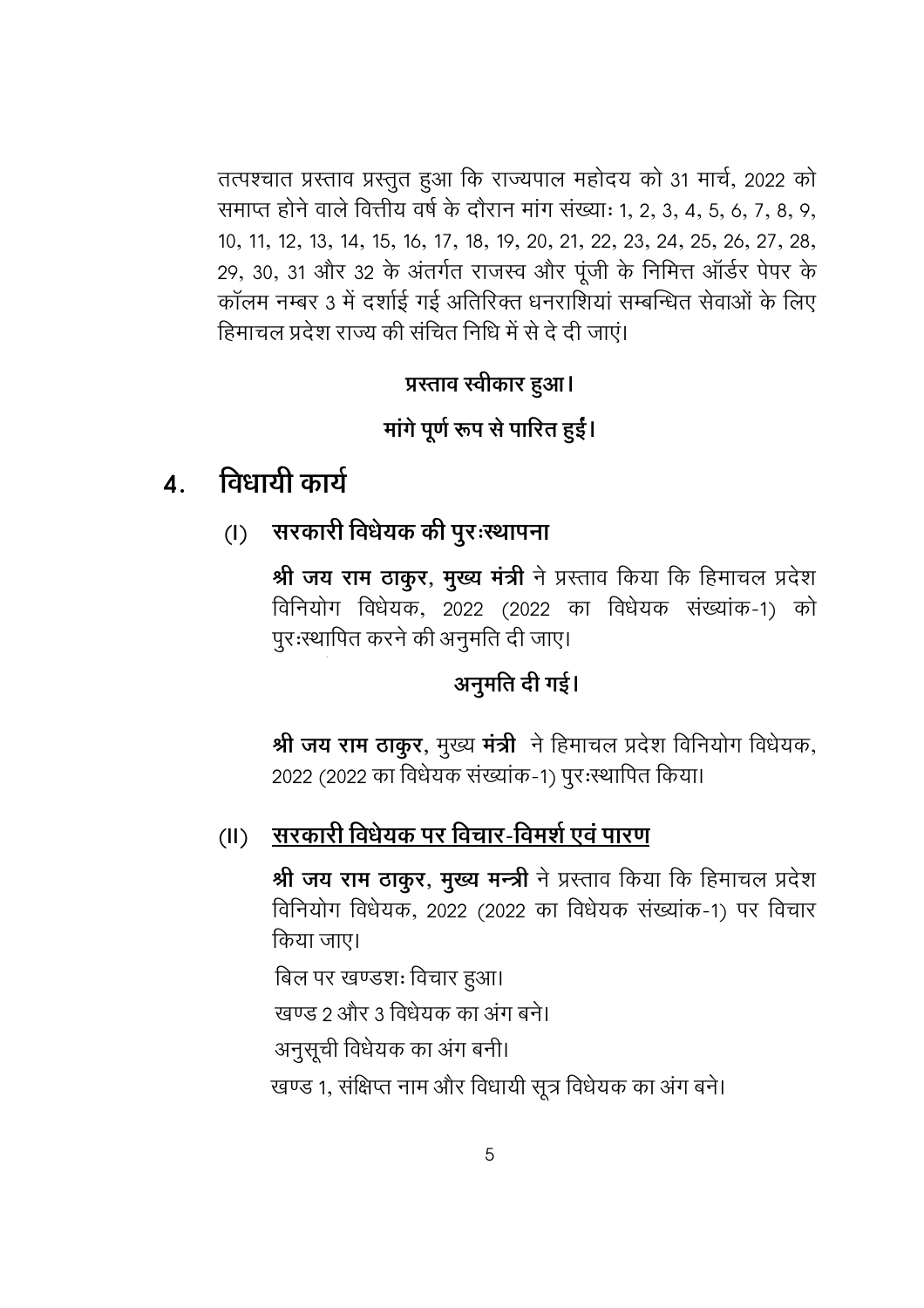तत्पश्चात प्रस्ताव प्रस्तुत हुआ कि राज्यपाल महोदय को 31 मार्च, 2022 को समाप्त होने वाले वित्तीय वर्ष के दौरान मांग संख्याः १, २, ३, ४, ५, ६, ७, ८, ९, 10, 11, 12, 13, 14, 15, 16, 17, 18, 19, 20, 21, 22, 23, 24, 25, 26, 27, 28, 29, 30, 31 और 32 के अंतर्गत राजस्व और पूंजी के निमित्त ऑर्डर पेपर के कॉलम नम्बर 3 में दर्शाई गई अतिरिक्त धनराशियां सम्बन्धित सेवाओं के लिए हिमाचल प्रदेश राज्य की संचित निधि में से दे दी जाएं।

## प्रस्ताव स्वीकार हुआ।

## मांगे पूर्ण रूप से पारित हुईं।

#### विधायी कार्य  $\mathbf{A}$ .

(।) सरकारी विधेयक की पुरःस्थापना

श्री जय राम ठाकुर, मुख्य मंत्री ने प्रस्ताव किया कि हिमाचल प्रदेश विनियोग विधेयक, 2022 (2022 का विधेयक संख्यांक-1) को पूर:स्थापित करने की अनुमति दी जाए।

#### अनुमति दी गई।

श्री जय राम ठाकुर, मुख्य मंत्री ने हिमाचल प्रदेश विनियोग विधेयक, 2022 (2022 का विधेयक संख्यांक-1) पूर:स्थापित किया।

#### <u>सरकारी विधेयक पर विचार-विमर्श एवं पारण</u>  $(II)$

श्री जय राम ठाकुर, मुख्य मन्त्री ने प्रस्ताव किया कि हिमाचल प्रदेश विनियोग विधेयक, 2022 (2022 का विधेयक संख्यांक-1) पर विचार किया जाए।

बिल पर खण्डशः विचार हुआ। खण्ड 2 और 3 विधेयक का अंग बने। अनुसूची विधेयक का अंग बनी। खण्ड 1, संक्षिप्त नाम और विधायी सूत्र विधेयक का अंग बने।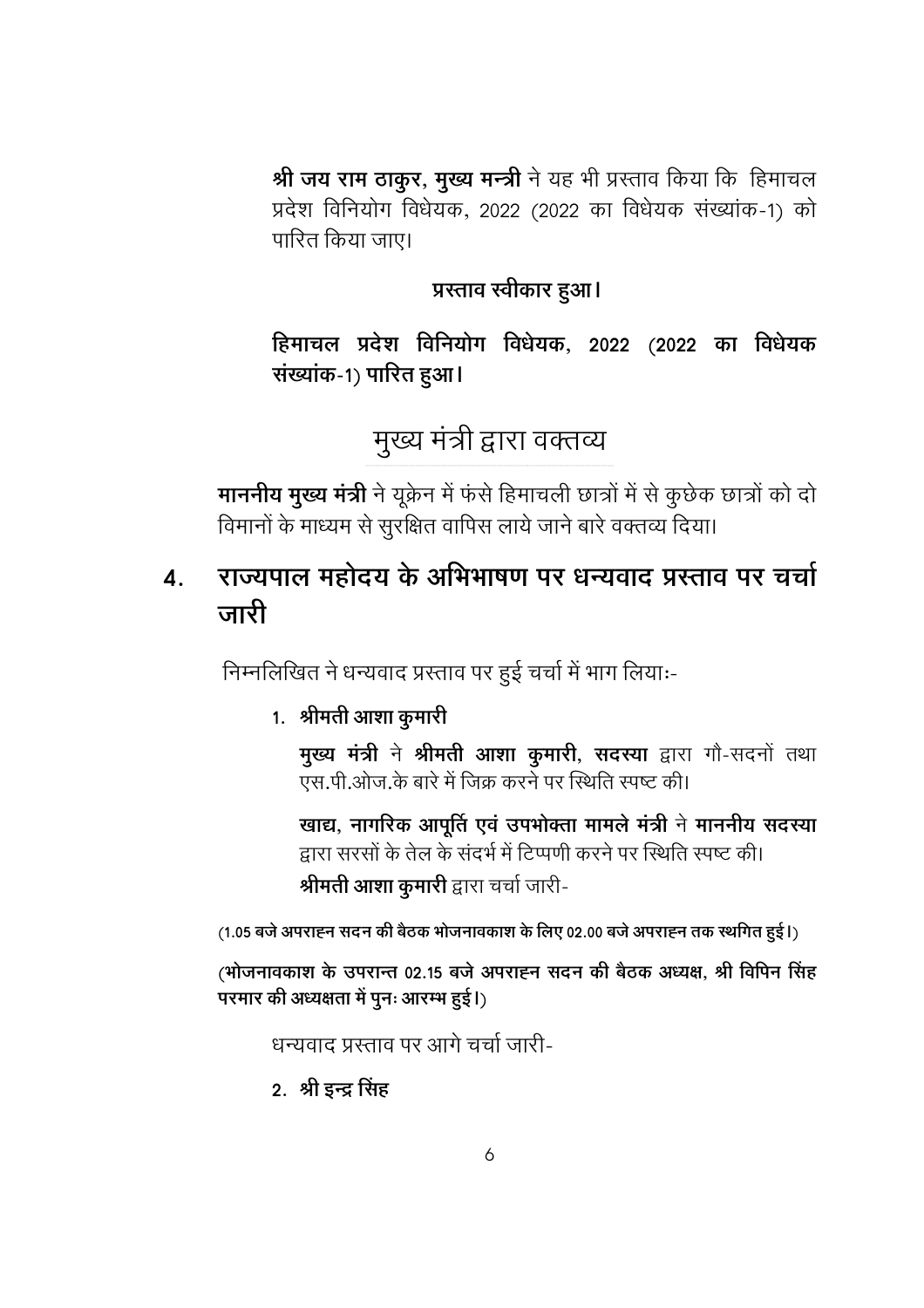श्री जय राम ठाकुर, मुख्य मन्त्री ने यह भी प्रस्ताव किया कि हिमाचल प्रदेश विनियोग विधेयक, 2022 (2022 का विधेयक संख्यांक-1) को पारित किया जाए।

## प्रस्ताव स्वीकार हुआ।

हिमाचल प्रदेश विनियोग विधेयक, 2022 (2022 का विधेयक संख्यांक-1) पारित हुआ।

# मुख्य मंत्री द्वारा वक्तव्य

माननीय मुख्य मंत्री ने यूक्रेन में फंसे हिमाचली छात्रों में से कुछेक छात्रों को दो विमानों के माध्यम से सुरक्षित वापिस लाये जाने बारे वक्तव्य दिया।

#### राज्यपाल महोदय के अभिभाषण पर धन्यवाद प्रस्ताव पर चर्चा  $\boldsymbol{4}$ . जारी

निम्नलिखित ने धन्यवाद प्रस्ताव पर हुई चर्चा में भाग लियाः-

#### 1. श्रीमती आशा कुमारी

मुख्य मंत्री ने श्रीमती आशा कुमारी, सदस्या द्वारा गौ-सदनों तथा एस.पी.ओज.के बारे में जिक्र करने पर स्थिति स्पष्ट की।

खाद्य, नागरिक आपूर्ति एवं उपभोक्ता मामले मंत्री ने माननीय सदस्या द्वारा सरसों के तेल के संदर्भ में टिप्पणी करने पर स्थिति स्पष्ट की। श्रीमती आशा कुमारी द्वारा चर्चा जारी-

(1.05 बजे अपराह्न सदन की बैठक भोजनावकाश के लिए 02.00 बजे अपराह्न तक स्थगित हुई।)

(भोजनावकाश के उपरान्त 02.15 बजे अपराह्न सदन की बैठक अध्यक्ष, श्री विपिन सिंह परमार की अध्यक्षता में पुनः आरम्भ हुई।)

धन्यवाद प्रस्ताव पर आगे चर्चा जारी-

#### 2. श्री इन्द्र सिंह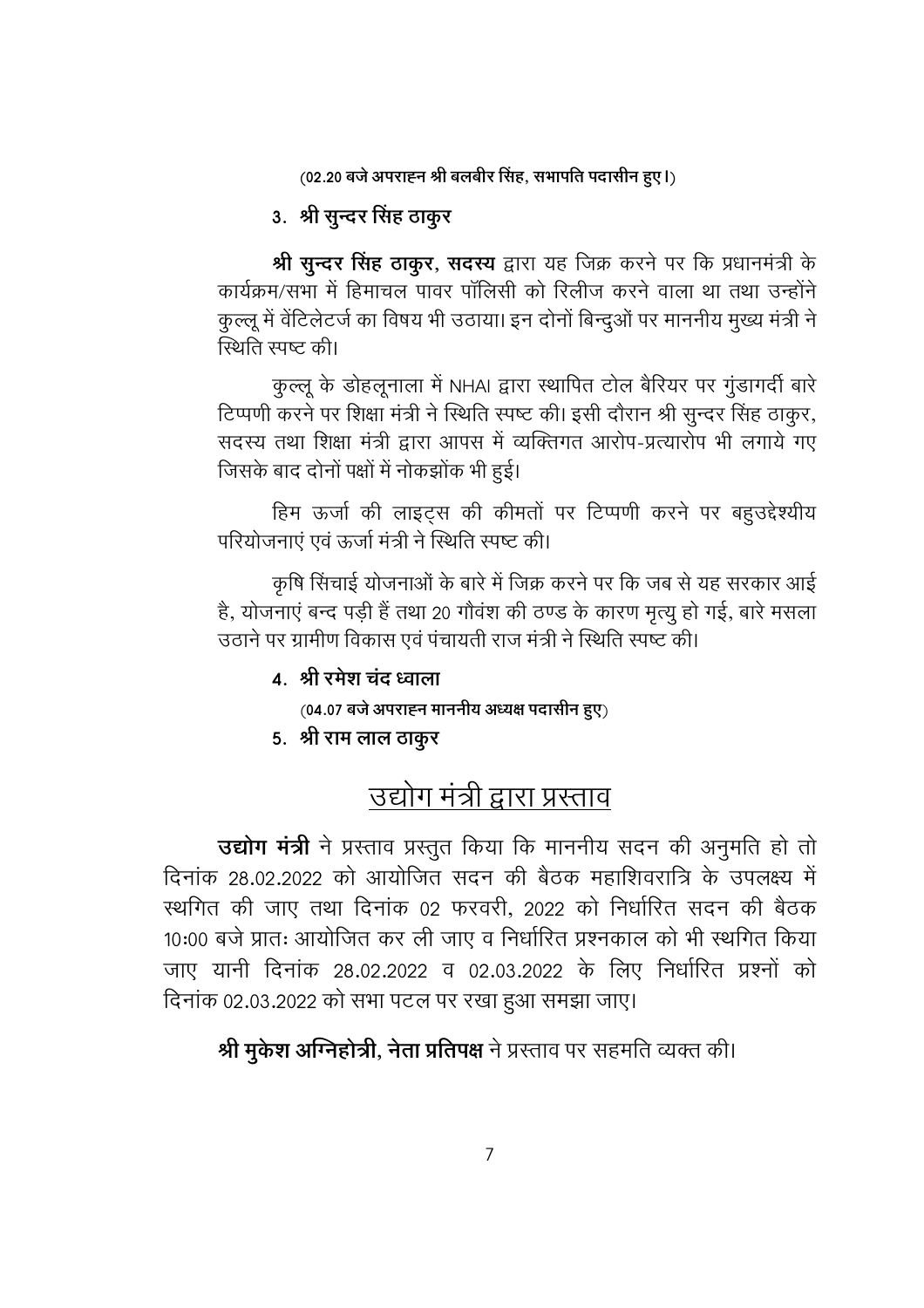(02.20 बजे अपराह्न श्री बलबीर सिंह, सभापति पदासीन हुए।)

## 3. श्री सुन्दर सिंह ठाकुर

श्री सुन्दर सिंह ठाकुर, सदस्य द्वारा यह जिक्र करने पर कि प्रधानमंत्री के कार्यक्रम/सभा में हिमाचल पावर पॉलिसी को रिलीज करने वाला था तथा उन्होंने कुल्लू में वेंटिलेटर्ज का विषय भी उठाया। इन दोनों बिन्दुओं पर माननीय मुख्य मंत्री ने स्थिति स्पष्ट की।

कुल्लू के डोहलूनाला में NHAI द्वारा स्थापित टोल बैरियर पर गुंडागर्दी बारे टिप्पणी करने पर शिक्षा मंत्री ने स्थिति स्पष्ट की। इसी दौरान श्री सुन्दर सिंह ठाकुर, सदस्य तथा शिक्षा मंत्री द्वारा आपस में व्यक्तिगत आरोप-प्रत्यारोप भी लगाये गए जिसके बाद दोनों पक्षों में नोकझोंक भी हुई।

हिम ऊर्जा की लाइट्स की कीमतों पर टिप्पणी करने पर बहुउद्देश्यीय परियोजनाएं एवं ऊर्जा मंत्री ने स्थिति स्पष्ट की।

कृषि सिंचाई योजनाओं के बारे में जिक्र करने पर कि जब से यह सरकार आई है, योजनाएं बन्द पड़ी हैं तथा 20 गौवंश की ठण्ड के कारण मृत्यु हो गई, बारे मसला उठाने पर ग्रामीण विकास एवं पंचायती राज मंत्री ने स्थिति स्पष्ट की।

#### 4. श्री रमेश चंद ध्वाला

 $(04.07$  बजे अपराह्न माननीय अध्यक्ष पदासीन हुए)

5. श्री राम लाल ठाकूर

# उद्योग मंत्री द्वारा प्रस्ताव

उद्योग मंत्री ने प्रस्ताव प्रस्तुत किया कि माननीय सदन की अनुमति हो तो दिनांक 28.02.2022 को आयोजित सदन की बैठक महाशिवरात्रि के उपलक्ष्य में स्थगित की जाए तथा दिनांक 02 फरवरी, 2022 को निर्धारित सदन की बैठक 10:00 बजे प्रातः आयोजित कर ली जाए व निर्धारित प्रश्नकाल को भी स्थगित किया जाए यानी दिनांक 28.02.2022 व 02.03.2022 के लिए निर्धारित प्रश्नों को दिनांक 02.03.2022 को सभा पटल पर रखा हुआ समझा जाए।

श्री मुकेश अग्निहोत्री, नेता प्रतिपक्ष ने प्रस्ताव पर सहमति व्यक्त की।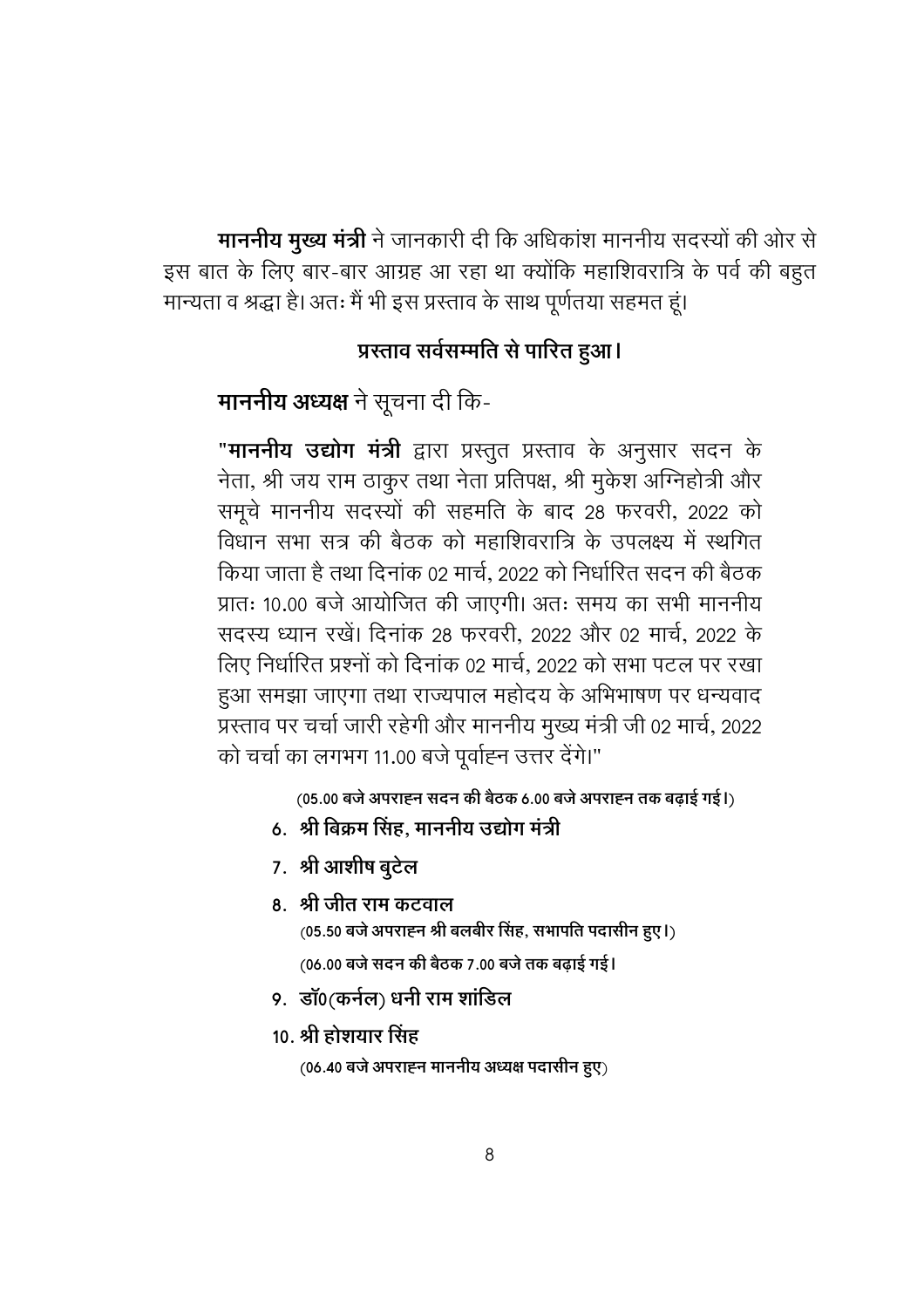माननीय मुख्य मंत्री ने जानकारी दी कि अधिकांश माननीय सदस्यों की ओर से इस बात के लिए बार-बार आग्रह आ रहा था क्योंकि महाशिवरात्रि के पर्व की बहुत मान्यता व श्रद्धा है। अतः मैं भी इस प्रस्ताव के साथ पूर्णतया सहमत हूं।

#### प्रस्ताव सर्वसम्मति से पारित हुआ।

माननीय अध्यक्ष ने सूचना दी कि-

"**माननीय उद्योग मंत्री** द्वारा प्रस्तुत प्रस्ताव के अनुसार सदन के नेता, श्री जय राम ठाकुर तथा नेता प्रतिपक्ष, श्री मुकेश अग्निहोत्री और समूचे माननीय सदस्यों की सहमति के बाद 28 फरवरी, 2022 को विधान सभा सत्र की बैठक को महाशिवरात्रि के उपलक्ष्य में स्थगित किया जाता है तथा दिनांक 02 मार्च, 2022 को निर्धारित सदन की बैठक प्रातः 10.00 बजे आयोजित की जाएगी। अतः समय का सभी माननीय सदस्य ध्यान रखें। दिनांक 28 फरवरी, 2022 और 02 मार्च, 2022 के लिए निर्धारित प्रश्नों को दिनांक 02 मार्च, 2022 को सभा पटल पर रखा हुआ समझा जाएगा तथा राज्यपाल महोदय के अभिभाषण पर धन्यवाद प्रस्ताव पर चर्चा जारी रहेगी और माननीय मुख्य मंत्री जी 02 मार्च, 2022 को चर्चा का लगभग 11.00 बजे पूर्वाह्न उत्तर देंगे।"

(05.00 बजे अपराह्न सदन की बैठक 6.00 बजे अपराह्न तक बढ़ाई गई।)

- 6. श्री बिक्रम सिंह, माननीय उद्योग मंत्री
- 7. श्री आशीष बुटेल
- 8. श्री जीत राम कटवाल (05.50 बजे अपराह्न श्री बलबीर सिंह, सभापति पदासीन हुए।)

(06.00 बजे सदन की बैठक 7.00 बजे तक बढ़ाई गई।

- 9. डॉ0(कर्नल) धनी राम शांडिल
- 10. श्री होशयार सिंह

 $(06.40$  बजे अपराहन माननीय अध्यक्ष पदासीन हुए)